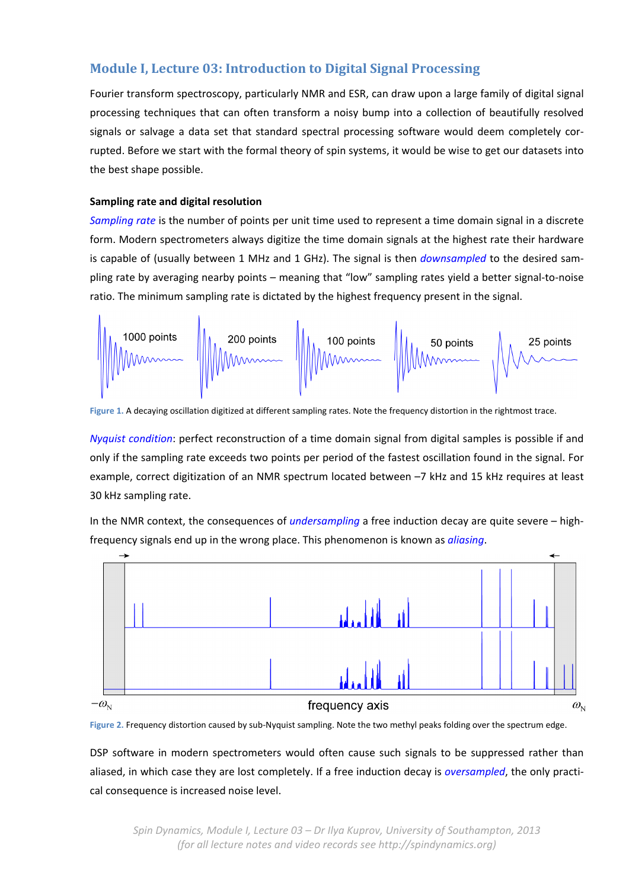# **Module I, Lecture 03: Introduction to Digital Signal Processing**

Fourier transform spectroscopy, particularly NMR and ESR, can draw upon a large family of digital signal processing techniques that can often transform a noisy bump into a collection of beautifully resolved signals or salvage a data set that standard spectral processing software would deem completely corrupted. Before we start with the formal theory of spin systems, it would be wise to get our datasets into the best shape possible.

## **Sampling rate and digital resolution**

*Sampling rate* is the number of points per unit time used to represent a time domain signal in a discrete form. Modern spectrometers always digitize the time domain signals at the highest rate their hardware is capable of (usually between 1 MHz and 1 GHz). The signal is then *downsampled* to the desired sam‐ pling rate by averaging nearby points – meaning that "low" sampling rates yield a better signal‐to‐noise ratio. The minimum sampling rate is dictated by the highest frequency present in the signal.



**Figure 1.** A decaying oscillation digitized at different sampling rates. Note the frequency distortion in the rightmost trace.

*Nyquist condition*: perfect reconstruction of a time domain signal from digital samples is possible if and only if the sampling rate exceeds two points per period of the fastest oscillation found in the signal. For example, correct digitization of an NMR spectrum located between –7 kHz and 15 kHz requires at least 30 kHz sampling rate.

In the NMR context, the consequences of *undersampling* a free induction decay are quite severe – high‐ frequency signals end up in the wrong place. This phenomenon is known as *aliasing*.



**Figure 2.** Frequency distortion caused by sub‐Nyquist sampling. Note the two methyl peaks folding over the spectrum edge.

DSP software in modern spectrometers would often cause such signals to be suppressed rather than aliased, in which case they are lost completely. If a free induction decay is *oversampled*, the only practi‐ cal consequence is increased noise level.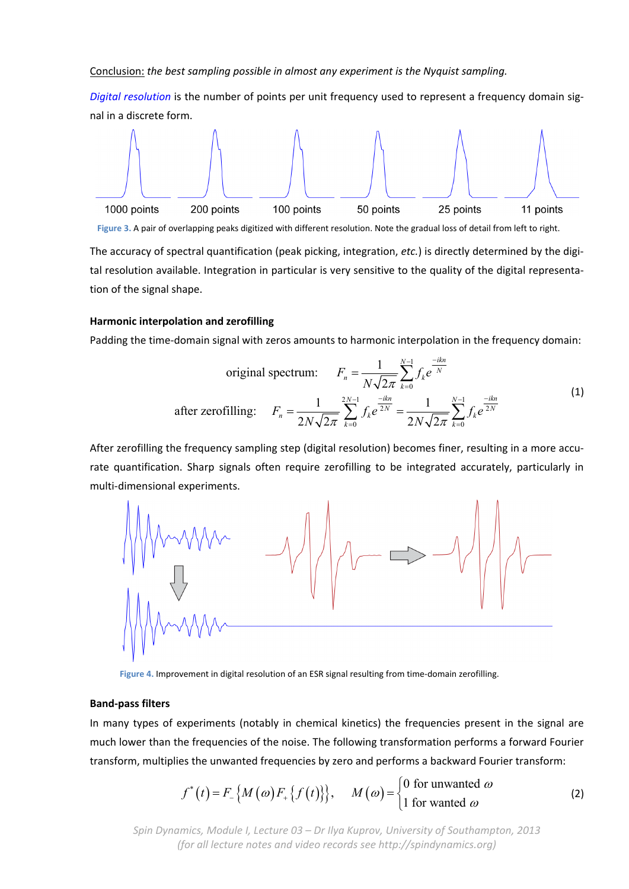Conclusion: *the best sampling possible in almost any experiment is the Nyquist sampling.*

*Digital resolution* is the number of points per unit frequency used to represent a frequency domain sig‐ nal in a discrete form.



**Figure 3.** A pair of overlapping peaks digitized with different resolution. Note the gradual loss of detail from left to right.

The accuracy of spectral quantification (peak picking, integration, *etc.*) is directly determined by the digi‐ tal resolution available. Integration in particular is very sensitive to the quality of the digital representa‐ tion of the signal shape.

#### **Harmonic interpolation and zerofilling**

Padding the time-domain signal with zeros amounts to harmonic interpolation in the frequency domain:

original spectrum: 
$$
F_n = \frac{1}{N\sqrt{2\pi}} \sum_{k=0}^{N-1} f_k e^{\frac{-ikn}{N}}
$$
  
after zerofilling: 
$$
F_n = \frac{1}{2N\sqrt{2\pi}} \sum_{k=0}^{2N-1} f_k e^{\frac{-ikn}{2N}} = \frac{1}{2N\sqrt{2\pi}} \sum_{k=0}^{N-1} f_k e^{\frac{-ikn}{2N}}
$$
(1)

After zerofilling the frequency sampling step (digital resolution) becomes finer, resulting in a more accu‐ rate quantification. Sharp signals often require zerofilling to be integrated accurately, particularly in multi‐dimensional experiments.



Figure 4. Improvement in digital resolution of an ESR signal resulting from time-domain zerofilling.

#### **Band‐pass filters**

In many types of experiments (notably in chemical kinetics) the frequencies present in the signal are much lower than the frequencies of the noise. The following transformation performs a forward Fourier transform, multiplies the unwanted frequencies by zero and performs a backward Fourier transform:

$$
f^*(t) = F_{-}\big\{M\big(\omega\big)F_{+}\big\{f\big(t\big)\big\}\big\}, \quad M\big(\omega\big) = \begin{cases} 0 \text{ for unwanted } \omega \\ 1 \text{ for wanted } \omega \end{cases}
$$
 (2)

*Spin Dynamics, Module I, Lecture 03 – Dr Ilya Kuprov, University of Southampton, 2013 (for all lecture notes and video records see http://spindynamics.org)*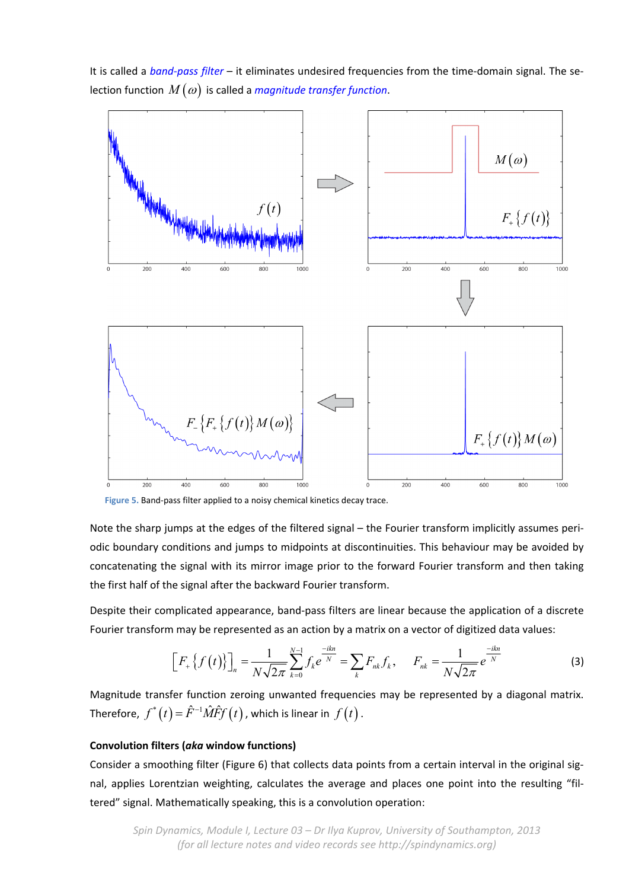It is called a *band‐pass filter* – it eliminates undesired frequencies from the time‐domain signal. The se‐ lection function  $M(\omega)$  is called a *magnitude transfer function*.



**Figure 5.** Band‐pass filter applied to a noisy chemical kinetics decay trace.

Note the sharp jumps at the edges of the filtered signal – the Fourier transform implicitly assumes peri‐ odic boundary conditions and jumps to midpoints at discontinuities. This behaviour may be avoided by concatenating the signal with its mirror image prior to the forward Fourier transform and then taking the first half of the signal after the backward Fourier transform.

Despite their complicated appearance, band‐pass filters are linear because the application of a discrete Fourier transform may be represented as an action by a matrix on a vector of digitized data values:

$$
\[F_{+}\{f(t)\}\]_{n} = \frac{1}{N\sqrt{2\pi}}\sum_{k=0}^{N-1}f_{k}e^{\frac{-ikn}{N}} = \sum_{k}F_{nk}f_{k}, \qquad F_{nk} = \frac{1}{N\sqrt{2\pi}}e^{\frac{-ikn}{N}} \tag{3}
$$

Magnitude transfer function zeroing unwanted frequencies may be represented by a diagonal matrix. Therefore,  $f^*(t) = \hat{F}^{-1} \hat{M} \hat{F} f(t)$ , which is linear in  $f(t)$ .

## **Convolution filters (***aka* **window functions)**

Consider a smoothing filter (Figure 6) that collects data points from a certain interval in the original sig‐ nal, applies Lorentzian weighting, calculates the average and places one point into the resulting "filtered" signal. Mathematically speaking, this is a convolution operation: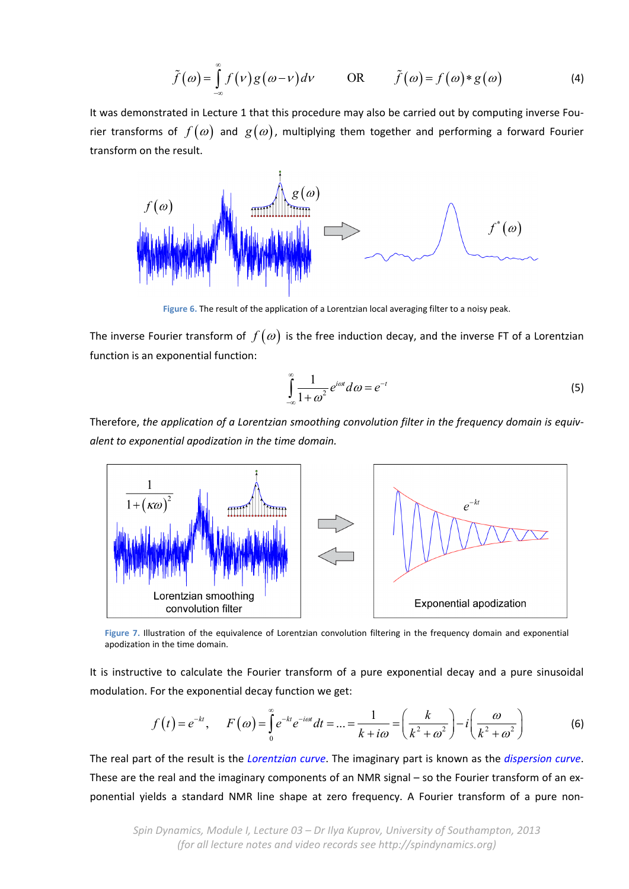$$
\tilde{f}(\omega) = \int_{-\infty}^{\infty} f(\nu) g(\omega - \nu) d\nu \qquad \text{OR} \qquad \tilde{f}(\omega) = f(\omega) * g(\omega) \tag{4}
$$

It was demonstrated in Lecture 1 that this procedure may also be carried out by computing inverse Fou‐ rier transforms of  $f(\omega)$  and  $g(\omega)$ , multiplying them together and performing a forward Fourier transform on the result.



**Figure 6.** The result of the application of a Lorentzian local averaging filter to a noisy peak.

The inverse Fourier transform of  $f(\omega)$  is the free induction decay, and the inverse FT of a Lorentzian function is an exponential function:

$$
\int_{-\infty}^{\infty} \frac{1}{1 + \omega^2} e^{i\omega t} d\omega = e^{-t}
$$
 (5)

Therefore, *the application of a Lorentzian smoothing convolution filter in the frequency domain is equiv‐ alent to exponential apodization in the time domain.*



**Figure 7.** Illustration of the equivalence of Lorentzian convolution filtering in the frequency domain and exponential apodization in the time domain.

It is instructive to calculate the Fourier transform of a pure exponential decay and a pure sinusoidal modulation. For the exponential decay function we get:

$$
f(t) = e^{-kt}, \quad F(\omega) = \int_{0}^{\infty} e^{-kt} e^{-i\omega t} dt = ... = \frac{1}{k + i\omega} = \left(\frac{k}{k^2 + \omega^2}\right) - i\left(\frac{\omega}{k^2 + \omega^2}\right)
$$
(6)

The real part of the result is the *Lorentzian curve*. The imaginary part is known as the *dispersion curve*. These are the real and the imaginary components of an NMR signal – so the Fourier transform of an ex‐ ponential yields a standard NMR line shape at zero frequency. A Fourier transform of a pure non‐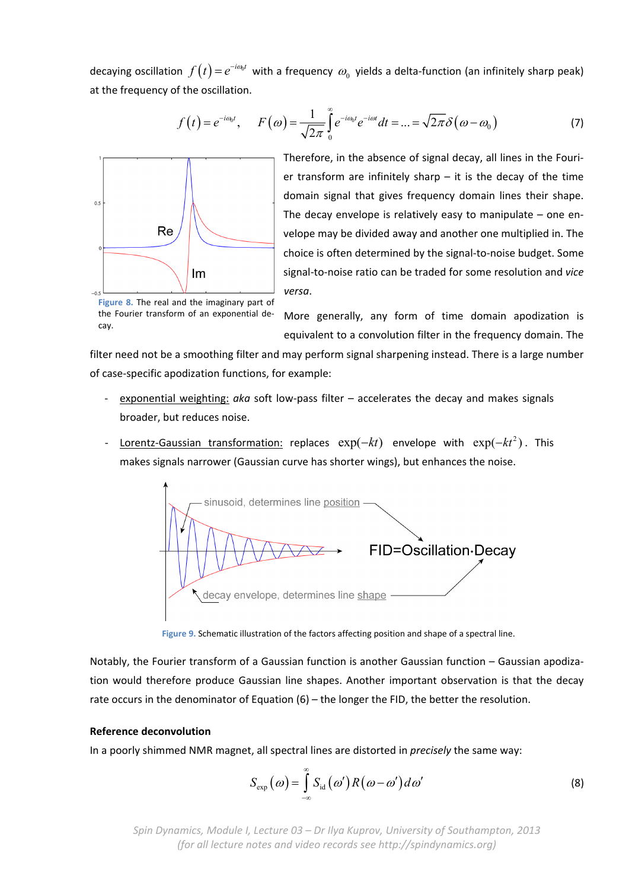decaying oscillation  $f(t) = e^{-i\omega_0 t}$  with a frequency  $\omega_0$  yields a delta-function (an infinitely sharp peak) at the frequency of the oscillation.

$$
f(t) = e^{-i\omega_0 t}, \qquad F(\omega) = \frac{1}{\sqrt{2\pi}} \int_0^\infty e^{-i\omega_0 t} e^{-i\omega t} dt = ... = \sqrt{2\pi} \delta(\omega - \omega_0)
$$
 (7)



Therefore, in the absence of signal decay, all lines in the Fouri‐ er transform are infinitely sharp  $-$  it is the decay of the time domain signal that gives frequency domain lines their shape. The decay envelope is relatively easy to manipulate  $-$  one envelope may be divided away and another one multiplied in. The choice is often determined by the signal‐to‐noise budget. Some signal‐to‐noise ratio can be traded for some resolution and *vice versa*.

**Figure 8.** The real and the imaginary part of the Fourier transform of an exponential de‐ cay.

More generally, any form of time domain apodization is equivalent to a convolution filter in the frequency domain. The

filter need not be a smoothing filter and may perform signal sharpening instead. There is a large number of case‐specific apodization functions, for example:

- ‐ exponential weighting: *aka* soft low‐pass filter accelerates the decay and makes signals broader, but reduces noise.
- **Lorentz-Gaussian transformation: replaces**  $exp(-kt)$  **envelope with**  $exp(-kt^2)$ **.** This makes signals narrower (Gaussian curve has shorter wings), but enhances the noise.



**Figure 9.** Schematic illustration of the factors affecting position and shape of a spectral line.

Notably, the Fourier transform of a Gaussian function is another Gaussian function – Gaussian apodiza‐ tion would therefore produce Gaussian line shapes. Another important observation is that the decay rate occurs in the denominator of Equation (6) – the longer the FID, the better the resolution.

#### **Reference deconvolution**

In a poorly shimmed NMR magnet, all spectral lines are distorted in *precisely* the same way:

$$
S_{\text{exp}}\left(\omega\right) = \int_{-\infty}^{\infty} S_{\text{id}}\left(\omega'\right) R\left(\omega - \omega'\right) d\omega' \tag{8}
$$

*Spin Dynamics, Module I, Lecture 03 – Dr Ilya Kuprov, University of Southampton, 2013 (for all lecture notes and video records see http://spindynamics.org)*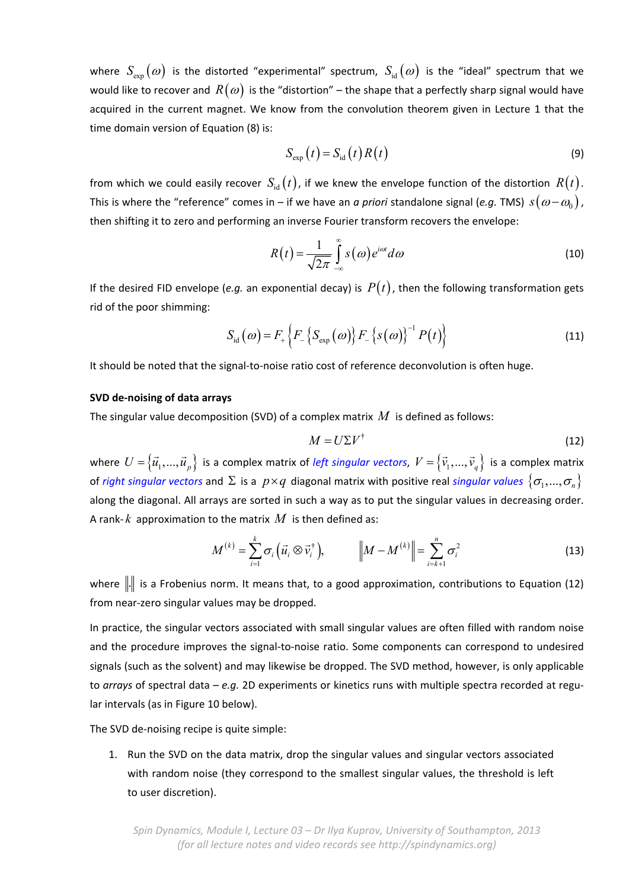where  $S_{\text{exp}}(\omega)$  is the distorted "experimental" spectrum,  $S_{\text{id}}(\omega)$  is the "ideal" spectrum that we would like to recover and  $R(\omega)$  is the "distortion" – the shape that a perfectly sharp signal would have acquired in the current magnet. We know from the convolution theorem given in Lecture 1 that the time domain version of Equation (8) is:

$$
S_{\rm exp}(t) = S_{\rm id}(t)R(t)
$$
\n(9)

from which we could easily recover  $S_{\rm id}(t)$ , if we knew the envelope function of the distortion  $R(t)$ . This is where the "reference" comes in – if we have an *a priori* standalone signal (*e.g.* TMS)  $s(\omega - \omega_0)$ , then shifting it to zero and performing an inverse Fourier transform recovers the envelope:

$$
R(t) = \frac{1}{\sqrt{2\pi}} \int_{-\infty}^{\infty} s(\omega) e^{i\omega t} d\omega
$$
 (10)

If the desired FID envelope (*e.g.* an exponential decay) is  $P(t)$ , then the following transformation gets rid of the poor shimming:

$$
S_{\rm id}(\omega) = F_{+}\left\{F_{-}\left\{S_{\rm exp}(\omega)\right\}F_{-}\left\{s(\omega)\right\}^{-1}P(t)\right\} \tag{11}
$$

It should be noted that the signal‐to‐noise ratio cost of reference deconvolution is often huge.

#### **SVD de‐noising of data arrays**

The singular value decomposition (SVD) of a complex matrix *M* is defined as follows:

$$
M = U \Sigma V^{\dagger} \tag{12}
$$

where  $U = \{\vec{u}_1,...,\vec{u}_p\}$  is a complex matrix of *left singular vectors*,  $V = \{\vec{v}_1,...,\vec{v}_q\}$  is a complex matrix of *right singular vectors* and  $\Sigma$  is a  $p \times q$  diagonal matrix with positive real *singular values*  $\{\sigma_1,...,\sigma_n\}$ along the diagonal. All arrays are sorted in such a way as to put the singular values in decreasing order. A rank- $k$  approximation to the matrix  $M$  is then defined as:

$$
M^{(k)} = \sum_{i=1}^{k} \sigma_i \left( \vec{u}_i \otimes \vec{v}_i^{\dagger} \right), \qquad \left\| M - M^{(k)} \right\| = \sum_{i=k+1}^{n} \sigma_i^2 \tag{13}
$$

where  $\|.\|$  is a Frobenius norm. It means that, to a good approximation, contributions to Equation (12) from near‐zero singular values may be dropped.

In practice, the singular vectors associated with small singular values are often filled with random noise and the procedure improves the signal-to-noise ratio. Some components can correspond to undesired signals (such as the solvent) and may likewise be dropped. The SVD method, however, is only applicable to *arrays* of spectral data – *e.g.* 2D experiments or kinetics runs with multiple spectra recorded at regu‐ lar intervals (as in Figure 10 below).

The SVD de‐noising recipe is quite simple:

1. Run the SVD on the data matrix, drop the singular values and singular vectors associated with random noise (they correspond to the smallest singular values, the threshold is left to user discretion).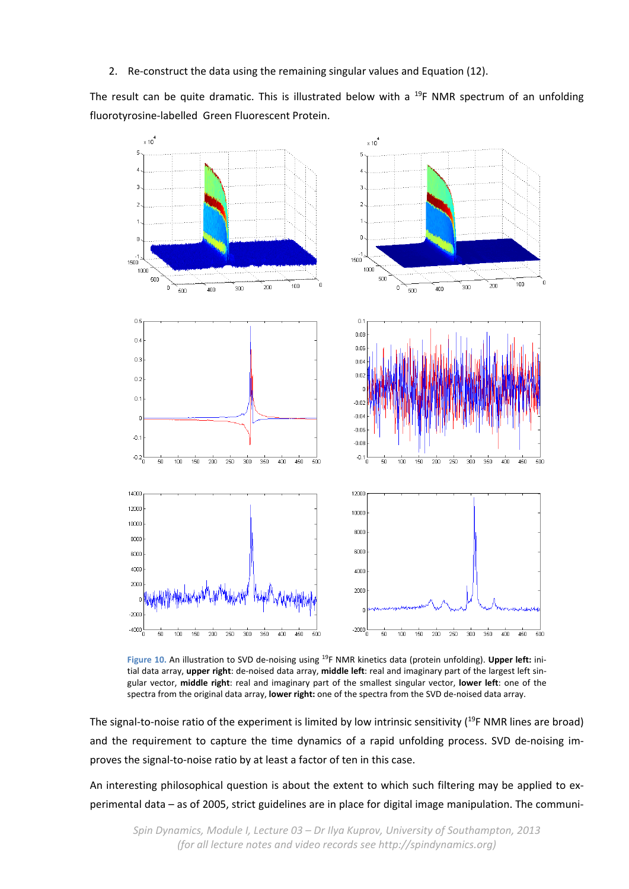2. Re-construct the data using the remaining singular values and Equation (12).

The result can be quite dramatic. This is illustrated below with a  $^{19}F$  NMR spectrum of an unfolding fluorotyrosine‐labelled Green Fluorescent Protein.



**Figure 10.** An illustration to SVD de‐noising using 19F NMR kinetics data (protein unfolding). **Upper left:** ini‐ tial data array, **upper right**: de‐noised data array, **middle left**: real and imaginary part of the largest left sin‐ gular vector, **middle right**: real and imaginary part of the smallest singular vector, **lower left**: one of the spectra from the original data array, **lower right:** one of the spectra from the SVD de‐noised data array.

The signal-to-noise ratio of the experiment is limited by low intrinsic sensitivity (<sup>19</sup>F NMR lines are broad) and the requirement to capture the time dynamics of a rapid unfolding process. SVD de-noising improves the signal-to-noise ratio by at least a factor of ten in this case.

An interesting philosophical question is about the extent to which such filtering may be applied to ex‐ perimental data – as of 2005, strict guidelines are in place for digital image manipulation. The communi‐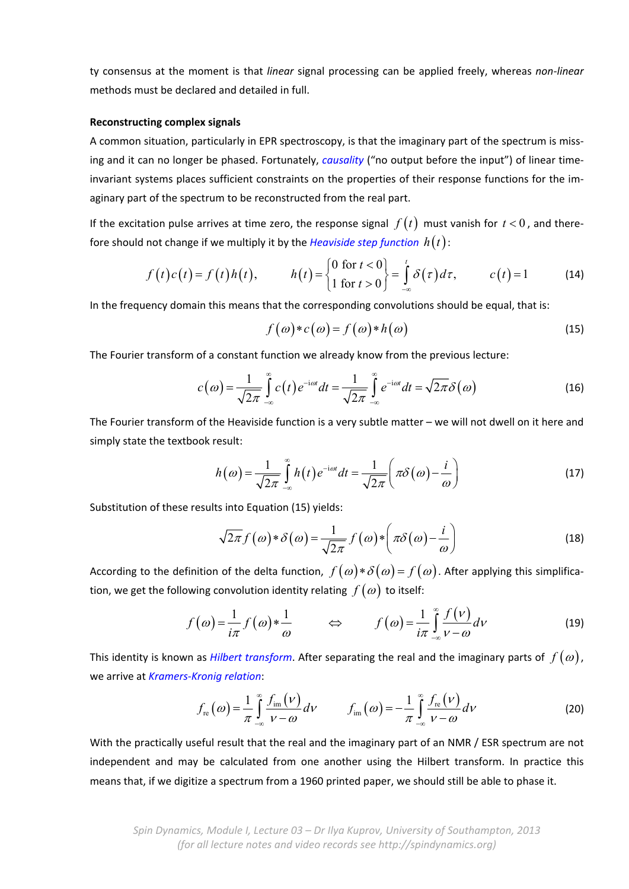ty consensus at the moment is that *linear* signal processing can be applied freely, whereas *non‐linear* methods must be declared and detailed in full.

## **Reconstructing complex signals**

A common situation, particularly in EPR spectroscopy, is that the imaginary part of the spectrum is miss‐ ing and it can no longer be phased. Fortunately, *causality* ("no output before the input") of linear time‐ invariant systems places sufficient constraints on the properties of their response functions for the imaginary part of the spectrum to be reconstructed from the real part.

If the excitation pulse arrives at time zero, the response signal  $f(t)$  must vanish for  $t < 0$ , and therefore should not change if we multiply it by the *Heaviside step function*  $h(t)$ :

$$
f(t)c(t) = f(t)h(t), \qquad h(t) = \begin{cases} 0 \text{ for } t < 0 \\ 1 \text{ for } t > 0 \end{cases} = \int_{-\infty}^{t} \delta(\tau) d\tau, \qquad c(t) = 1 \qquad (14)
$$

In the frequency domain this means that the corresponding convolutions should be equal, that is:

$$
f(\omega) * c(\omega) = f(\omega) * h(\omega)
$$
\n(15)

The Fourier transform of a constant function we already know from the previous lecture:

$$
c(\omega) = \frac{1}{\sqrt{2\pi}} \int_{-\infty}^{\infty} c(t) e^{-i\omega t} dt = \frac{1}{\sqrt{2\pi}} \int_{-\infty}^{\infty} e^{-i\omega t} dt = \sqrt{2\pi} \delta(\omega)
$$
 (16)

The Fourier transform of the Heaviside function is a very subtle matter – we will not dwell on it here and simply state the textbook result:

$$
h(\omega) = \frac{1}{\sqrt{2\pi}} \int_{-\infty}^{\infty} h(t) e^{-i\omega t} dt = \frac{1}{\sqrt{2\pi}} \left( \pi \delta(\omega) - \frac{i}{\omega} \right)
$$
 (17)

Substitution of these results into Equation (15) yields:

$$
\sqrt{2\pi} f(\omega) * \delta(\omega) = \frac{1}{\sqrt{2\pi}} f(\omega) * \left( \pi \delta(\omega) - \frac{i}{\omega} \right)
$$
(18)

According to the definition of the delta function,  $f(\omega)*\delta(\omega) = f(\omega)$ . After applying this simplification, we get the following convolution identity relating  $f(\omega)$  to itself:

$$
f(\omega) = \frac{1}{i\pi} f(\omega) * \frac{1}{\omega} \qquad \Leftrightarrow \qquad f(\omega) = \frac{1}{i\pi} \int_{-\infty}^{\infty} \frac{f(\nu)}{\nu - \omega} d\nu \tag{19}
$$

This identity is known as *Hilbert transform*. After separating the real and the imaginary parts of  $f(\omega)$ , we arrive at *Kramers‐Kronig relation*:

$$
f_{\rm re}(\omega) = \frac{1}{\pi} \int_{-\infty}^{\infty} \frac{f_{\rm im}(\nu)}{\nu - \omega} d\nu \qquad f_{\rm im}(\omega) = -\frac{1}{\pi} \int_{-\infty}^{\infty} \frac{f_{\rm re}(\nu)}{\nu - \omega} d\nu \qquad (20)
$$

With the practically useful result that the real and the imaginary part of an NMR / ESR spectrum are not independent and may be calculated from one another using the Hilbert transform. In practice this means that, if we digitize a spectrum from a 1960 printed paper, we should still be able to phase it.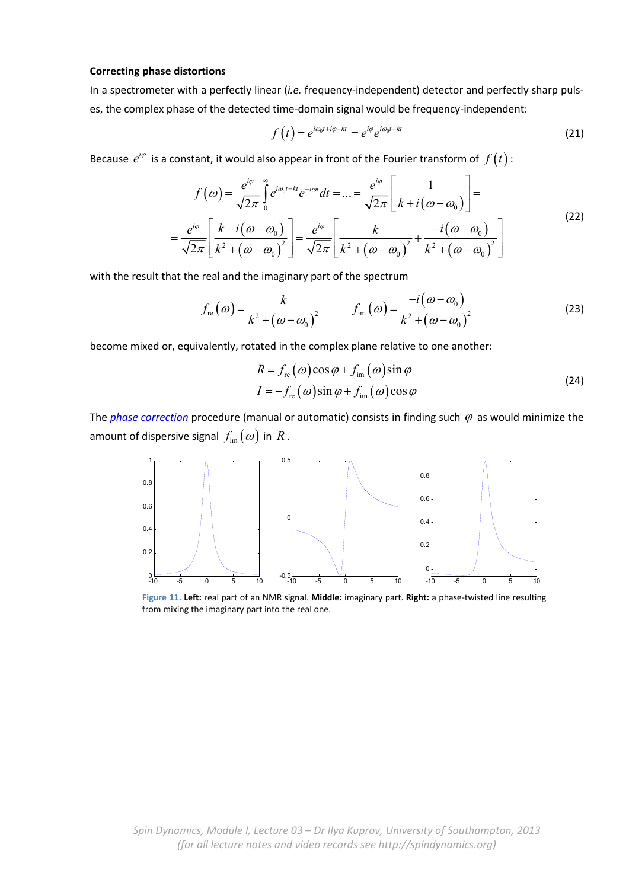#### **Correcting phase distortions**

In a spectrometer with a perfectly linear (*i.e.* frequency-independent) detector and perfectly sharp pulses, the complex phase of the detected time-domain signal would be frequency-independent:

$$
f(t) = e^{i\omega_0 t + i\varphi - kt} = e^{i\varphi} e^{i\omega_0 t - kt}
$$
\n(21)

Because  $e^{i\varphi}$  is a constant, it would also appear in front of the Fourier transform of  $f(t)$ :

$$
f(\omega) = \frac{e^{i\varphi}}{\sqrt{2\pi}} \int_{0}^{\infty} e^{i\omega_{0}t - kt} e^{-i\omega t} dt = ... = \frac{e^{i\varphi}}{\sqrt{2\pi}} \left[ \frac{1}{k + i(\omega - \omega_{0})} \right] =
$$
  
= 
$$
\frac{e^{i\varphi}}{\sqrt{2\pi}} \left[ \frac{k - i(\omega - \omega_{0})}{k^{2} + (\omega - \omega_{0})^{2}} \right] = \frac{e^{i\varphi}}{\sqrt{2\pi}} \left[ \frac{k}{k^{2} + (\omega - \omega_{0})^{2}} + \frac{-i(\omega - \omega_{0})}{k^{2} + (\omega - \omega_{0})^{2}} \right]
$$
(22)

with the result that the real and the imaginary part of the spectrum

$$
f_{\rm re}(\omega) = \frac{k}{k^2 + (\omega - \omega_0)^2} \qquad f_{\rm im}(\omega) = \frac{-i(\omega - \omega_0)}{k^2 + (\omega - \omega_0)^2}
$$
 (23)

become mixed or, equivalently, rotated in the complex plane relative to one another:

$$
R = f_{\rm re}(\omega)\cos\varphi + f_{\rm im}(\omega)\sin\varphi
$$
  
\n
$$
I = -f_{\rm re}(\omega)\sin\varphi + f_{\rm im}(\omega)\cos\varphi
$$
\n(24)

The *phase correction* procedure (manual or automatic) consists in finding such  $\varphi$  as would minimize the amount of dispersive signal  $f_{\text{im}}(\omega)$  in R.



**Figure 11. Left:** real part of an NMR signal. **Middle:** imaginary part. **Right:** a phase‐twisted line resulting from mixing the imaginary part into the real one.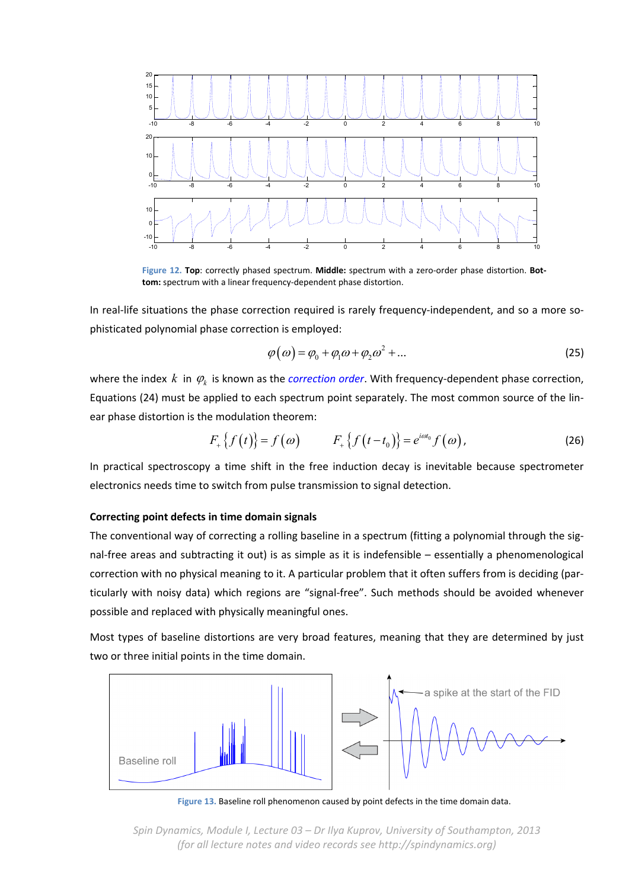

**Figure 12. Top**: correctly phased spectrum. **Middle:** spectrum with a zero‐order phase distortion. **Bot‐ tom:** spectrum with a linear frequency‐dependent phase distortion.

In real-life situations the phase correction required is rarely frequency-independent, and so a more sophisticated polynomial phase correction is employed:

$$
\varphi(\omega) = \varphi_0 + \varphi_1 \omega + \varphi_2 \omega^2 + \dots \tag{25}
$$

where the index  $k$  in  $\varphi_k$  is known as the *correction order*. With frequency-dependent phase correction, Equations (24) must be applied to each spectrum point separately. The most common source of the lin‐ ear phase distortion is the modulation theorem:

$$
F_{+}\{f(t)\}=f(\omega) \qquad F_{+}\{f(t-t_{0})\}=e^{i\omega t_{0}}f(\omega), \qquad (26)
$$

In practical spectroscopy a time shift in the free induction decay is inevitable because spectrometer electronics needs time to switch from pulse transmission to signal detection.

#### **Correcting point defects in time domain signals**

The conventional way of correcting a rolling baseline in a spectrum (fitting a polynomial through the sig‐ nal-free areas and subtracting it out) is as simple as it is indefensible – essentially a phenomenological correction with no physical meaning to it. A particular problem that it often suffers from is deciding (par‐ ticularly with noisy data) which regions are "signal‐free". Such methods should be avoided whenever possible and replaced with physically meaningful ones.

Most types of baseline distortions are very broad features, meaning that they are determined by just two or three initial points in the time domain.



**Figure 13.** Baseline roll phenomenon caused by point defects in the time domain data.

*Spin Dynamics, Module I, Lecture 03 – Dr Ilya Kuprov, University of Southampton, 2013 (for all lecture notes and video records see http://spindynamics.org)*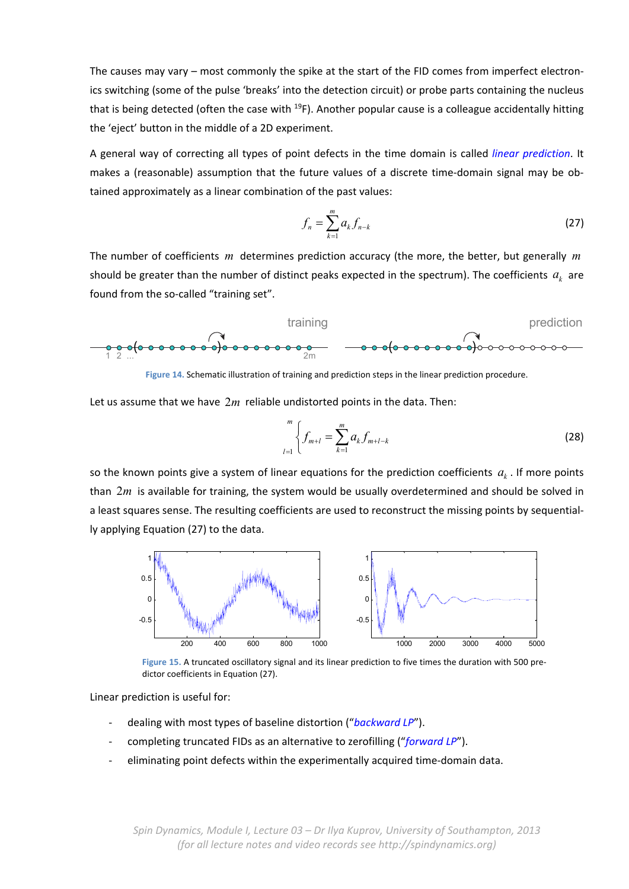The causes may vary – most commonly the spike at the start of the FID comes from imperfect electronics switching (some of the pulse 'breaks' into the detection circuit) or probe parts containing the nucleus that is being detected (often the case with  $^{19}F$ ). Another popular cause is a colleague accidentally hitting the 'eject' button in the middle of a 2D experiment.

A general way of correcting all types of point defects in the time domain is called *linear prediction*. It makes a (reasonable) assumption that the future values of a discrete time-domain signal may be obtained approximately as a linear combination of the past values:

$$
f_n = \sum_{k=1}^{m} a_k f_{n-k}
$$
 (27)

The number of coefficients *m* determines prediction accuracy (the more, the better, but generally *m* should be greater than the number of distinct peaks expected in the spectrum). The coefficients  $a_k$  are found from the so-called "training set".



**Figure 14.** Schematic illustration of training and prediction steps in the linear prediction procedure.

Let us assume that we have 2*m* reliable undistorted points in the data. Then:

$$
\int_{l=1}^{m} \left\{ f_{m+l} = \sum_{k=1}^{m} a_k f_{m+l-k} \right\} \tag{28}
$$

so the known points give a system of linear equations for the prediction coefficients  $a<sub>k</sub>$ . If more points than 2*m* is available for training, the system would be usually overdetermined and should be solved in a least squares sense. The resulting coefficients are used to reconstruct the missing points by sequential‐ ly applying Equation (27) to the data.



**Figure 15.** A truncated oscillatory signal and its linear prediction to five times the duration with 500 pre‐ dictor coefficients in Equation (27).

Linear prediction is useful for:

- ‐ dealing with most types of baseline distortion ("*backward LP*").
- ‐ completing truncated FIDs as an alternative to zerofilling ("*forward LP*").
- eliminating point defects within the experimentally acquired time-domain data.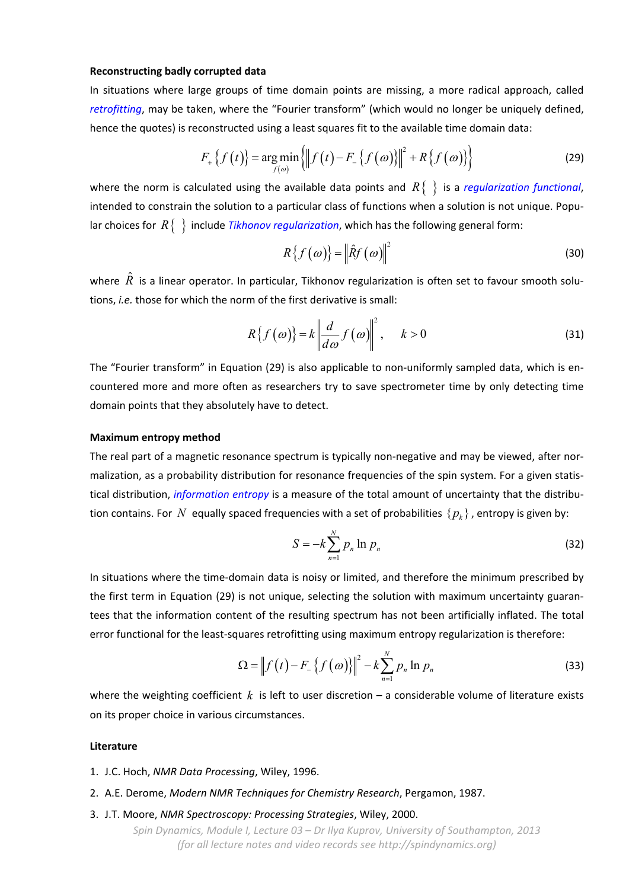#### **Reconstructing badly corrupted data**

In situations where large groups of time domain points are missing, a more radical approach, called *retrofitting*, may be taken, where the "Fourier transform" (which would no longer be uniquely defined, hence the quotes) is reconstructed using a least squares fit to the available time domain data:

$$
F_{+}\{f(t)\} = \underset{f(\omega)}{\arg\min} \left\{ \left\|f(t) - F_{-}\{f(\omega)\}\right\|^{2} + R\{f(\omega)\}\right\}
$$
(29)

where the norm is calculated using the available data points and  $R\{\}$  is a *regularization functional*, intended to constrain the solution to a particular class of functions when a solution is not unique. Popular choices for  $R\{\}\}$  include *Tikhonov regularization*, which has the following general form:

$$
R\{f(\omega)\} = \left\|\hat{R}f(\omega)\right\|^2 \tag{30}
$$

where  $\hat{R}$  is a linear operator. In particular, Tikhonov regularization is often set to favour smooth solutions, *i.e.* those for which the norm of the first derivative is small:

$$
R\{f(\omega)\} = k \left\| \frac{d}{d\omega} f(\omega) \right\|^2, \quad k > 0 \tag{31}
$$

The "Fourier transform" in Equation (29) is also applicable to non-uniformly sampled data, which is encountered more and more often as researchers try to save spectrometer time by only detecting time domain points that they absolutely have to detect.

#### **Maximum entropy method**

The real part of a magnetic resonance spectrum is typically non-negative and may be viewed, after normalization, as a probability distribution for resonance frequencies of the spin system. For a given statis‐ tical distribution, *information entropy* is a measure of the total amount of uncertainty that the distribu‐ tion contains. For *N* equally spaced frequencies with a set of probabilities  $\{p_k\}$ , entropy is given by:

$$
S = -k \sum_{n=1}^{N} p_n \ln p_n \tag{32}
$$

In situations where the time‐domain data is noisy or limited, and therefore the minimum prescribed by the first term in Equation (29) is not unique, selecting the solution with maximum uncertainty guarantees that the information content of the resulting spectrum has not been artificially inflated. The total error functional for the least‐squares retrofitting using maximum entropy regularization is therefore:

$$
\Omega = \|f(t) - F_{-}\{f(\omega)\}\|^{2} - k \sum_{n=1}^{N} p_{n} \ln p_{n}
$$
\n(33)

where the weighting coefficient *k* is left to user discretion – a considerable volume of literature exists on its proper choice in various circumstances.

## **Literature**

- 1. J.C. Hoch, *NMR Data Processing*, Wiley, 1996.
- 2. A.E. Derome, *Modern NMR Techniques for Chemistry Research*, Pergamon, 1987.
- 3. J.T. Moore, *NMR Spectroscopy: Processing Strategies*, Wiley, 2000.

*Spin Dynamics, Module I, Lecture 03 – Dr Ilya Kuprov, University of Southampton, 2013 (for all lecture notes and video records see http://spindynamics.org)*